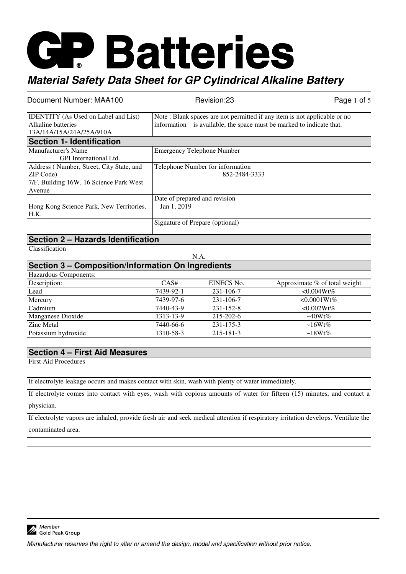| Document Number: MAA100                     | Revision:23                                                              | Page 1 of $5$ |
|---------------------------------------------|--------------------------------------------------------------------------|---------------|
| <b>IDENTITY</b> (As Used on Label and List) | Note: Blank spaces are not permitted if any item is not applicable or no |               |
| Alkaline batteries                          | information is available, the space must be marked to indicate that.     |               |
| 13A/14A/15A/24A/25A/910A                    |                                                                          |               |
| <b>Section 1- Identification</b>            |                                                                          |               |
| Manufacturer's Name                         | <b>Emergency Telephone Number</b>                                        |               |
| <b>GPI</b> International Ltd.               |                                                                          |               |
| Address (Number, Street, City State, and    | Telephone Number for information                                         |               |
| ZIP Code)                                   | 852-2484-3333                                                            |               |
| 7/F, Building 16W, 16 Science Park West     |                                                                          |               |
| Avenue                                      |                                                                          |               |
|                                             | Date of prepared and revision                                            |               |
| Hong Kong Science Park, New Territories.    | Jan 1, 2019                                                              |               |
| H.K.                                        |                                                                          |               |
|                                             | Signature of Prepare (optional)                                          |               |

### **Section 2 – Hazards Identification**

Classification

N.A.

### **Section 3 – Composition/Information On Ingredients**

| Hazardous Components: |           |                 |                               |
|-----------------------|-----------|-----------------|-------------------------------|
| Description:          | CAS#      | EINECS No.      | Approximate % of total weight |
| Lead                  | 7439-92-1 | 231-106-7       | $< 0.004Wt\%$                 |
| Mercury               | 7439-97-6 | $231 - 106 - 7$ | $< 0.0001 Wt\%$               |
| Cadmium               | 7440-43-9 | $231 - 152 - 8$ | $< 0.002Wt\%$                 |
| Manganese Dioxide     | 1313-13-9 | $215 - 202 - 6$ | $\sim 40Wt\%$                 |
| Zinc Metal            | 7440-66-6 | $231 - 175 - 3$ | $\sim 16Wt\%$                 |
| Potassium hydroxide   | 1310-58-3 | $215 - 181 - 3$ | $\sim$ 18Wt%                  |

#### **Section 4 – First Aid Measures**

First Aid Procedures

|  |  | If electrolyte leakage occurs and makes contact with skin, wash with plenty of water immediately. |
|--|--|---------------------------------------------------------------------------------------------------|
|  |  |                                                                                                   |

If electrolyte comes into contact with eyes, wash with copious amounts of water for fifteen (15) minutes, and contact a physician.

If electrolyte vapors are inhaled, provide fresh air and seek medical attention if respiratory irritation develops. Ventilate the contaminated area.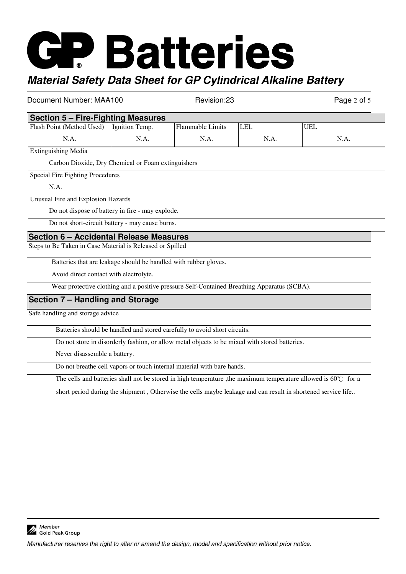Document Number: MAA100 Revision:23 Revision:23 Page 2 of 5 **Section 5 – Fire-Fighting Measures** Flash Point (Method Used) N.A. Ignition Temp. N.A. Flammable Limits N.A. LEL N.A. UEL N.A. Extinguishing Media Carbon Dioxide, Dry Chemical or Foam extinguishers Special Fire Fighting Procedures N.A. Unusual Fire and Explosion Hazards Do not dispose of battery in fire - may explode. Do not short-circuit battery - may cause burns. **Section 6 – Accidental Release Measures** Steps to Be Taken in Case Material is Released or Spilled Batteries that are leakage should be handled with rubber gloves. Avoid direct contact with electrolyte. Wear protective clothing and a positive pressure Self-Contained Breathing Apparatus (SCBA). **Section 7 – Handling and Storage**  Safe handling and storage advice Batteries should be handled and stored carefully to avoid short circuits. Do not store in disorderly fashion, or allow metal objects to be mixed with stored batteries. Never disassemble a battery. Do not breathe cell vapors or touch internal material with bare hands.

The cells and batteries shall not be stored in high temperature ,the maximum temperature allowed is 60℃ for a

short period during the shipment , Otherwise the cells maybe leakage and can result in shortened service life..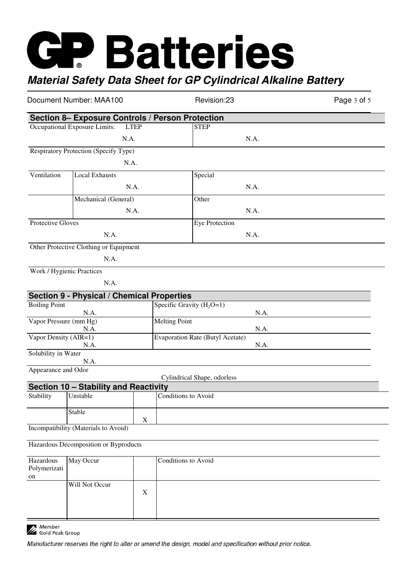| Document Number: MAA100         |                                                   | Revision:23 | Page 3 of 5                                      |  |
|---------------------------------|---------------------------------------------------|-------------|--------------------------------------------------|--|
|                                 |                                                   |             | Section 8- Exposure Controls / Person Protection |  |
|                                 | Occupational Exposure Limits:                     | <b>LTEP</b> | <b>STEP</b>                                      |  |
|                                 |                                                   | N.A.        | N.A.                                             |  |
|                                 | Respiratory Protection (Specify Type)             |             |                                                  |  |
|                                 |                                                   | N.A.        |                                                  |  |
| Ventilation                     | <b>Local Exhausts</b>                             |             | Special                                          |  |
|                                 |                                                   | N.A.        | N.A.                                             |  |
|                                 | Mechanical (General)                              |             | Other                                            |  |
|                                 |                                                   | N.A.        | N.A.                                             |  |
|                                 |                                                   |             |                                                  |  |
| Protective Gloves               |                                                   |             | Eye Protection                                   |  |
|                                 | N.A.                                              |             | N.A.                                             |  |
|                                 | Other Protective Clothing or Equipment            |             |                                                  |  |
|                                 | N.A.                                              |             |                                                  |  |
|                                 | Work / Hygienic Practices                         |             |                                                  |  |
|                                 | N.A.                                              |             |                                                  |  |
|                                 | Section 9 - Physical / Chemical Properties        |             |                                                  |  |
| <b>Boiling Point</b>            |                                                   |             | Specific Gravity $(H_2O=1)$                      |  |
| N.A.                            |                                                   |             | N.A.<br><b>Melting Point</b>                     |  |
| Vapor Pressure (mm Hg)<br>N.A.  |                                                   |             | N.A.                                             |  |
| Vapor Density (AIR=1)           |                                                   |             | <b>Evaporation Rate (Butyl Acetate)</b>          |  |
| Solubility in Water             | N.A.                                              |             | N.A.                                             |  |
|                                 | N.A.                                              |             |                                                  |  |
| Appearance and Odor             |                                                   |             |                                                  |  |
|                                 |                                                   |             | Cylindrical Shape, odorless                      |  |
| Stability                       | Section 10 - Stability and Reactivity<br>Unstable |             | Conditions to Avoid                              |  |
|                                 |                                                   |             |                                                  |  |
|                                 | Stable                                            | $\mathbf X$ |                                                  |  |
|                                 | Incompatibility (Materials to Avoid)              |             |                                                  |  |
|                                 |                                                   |             |                                                  |  |
|                                 | Hazardous Decomposition or Byproducts             |             |                                                  |  |
| Hazardous<br>Polymerizati<br>on | May Occur                                         |             | Conditions to Avoid                              |  |
|                                 | Will Not Occur                                    | X           |                                                  |  |

Member<br>A Gold Peak Group

Manufacturer reserves the right to alter or amend the design, model and specification without prior notice.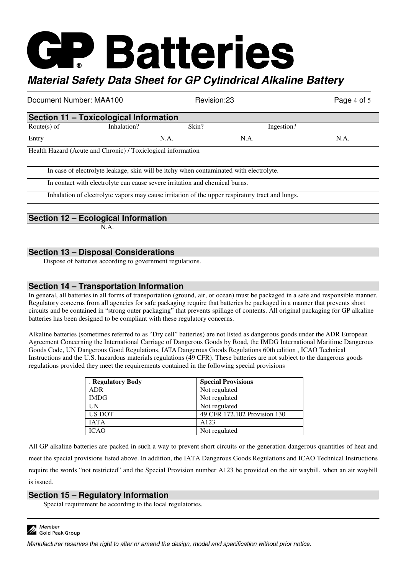| Document Number: MAA100                |                                                                                        | Revision:23 |            | Page 4 of 5 |  |
|----------------------------------------|----------------------------------------------------------------------------------------|-------------|------------|-------------|--|
| Section 11 - Toxicological Information |                                                                                        |             |            |             |  |
| Route $(s)$ of                         | Inhalation?                                                                            | Skin?       | Ingestion? |             |  |
| Entry                                  |                                                                                        | N.A.        | N.A.       | N.A.        |  |
|                                        | Health Hazard (Acute and Chronic) / Toxiclogical information                           |             |            |             |  |
|                                        | In case of electrolyte leakage, skin will be itchy when contaminated with electrolyte. |             |            |             |  |

In contact with electrolyte can cause severe irritation and chemical burns.

Inhalation of electrolyte vapors may cause irritation of the upper respiratory tract and lungs.

#### **Section 12 – Ecological Information**

N.A.

#### **Section 13 – Disposal Considerations**

Dispose of batteries according to government regulations.

#### **Section 14 – Transportation Information**

In general, all batteries in all forms of transportation (ground, air, or ocean) must be packaged in a safe and responsible manner. Regulatory concerns from all agencies for safe packaging require that batteries be packaged in a manner that prevents short circuits and be contained in "strong outer packaging" that prevents spillage of contents. All original packaging for GP alkaline batteries has been designed to be compliant with these regulatory concerns.

Alkaline batteries (sometimes referred to as "Dry cell" batteries) are not listed as dangerous goods under the ADR European Agreement Concerning the International Carriage of Dangerous Goods by Road, the IMDG International Maritime Dangerous Goods Code, UN Dangerous Good Regulations, IATA Dangerous Goods Regulations 60th edition , ICAO Technical Instructions and the U.S. hazardous materials regulations (49 CFR). These batteries are not subject to the dangerous goods regulations provided they meet the requirements contained in the following special provisions

| . Regulatory Body | <b>Special Provisions</b>    |
|-------------------|------------------------------|
| ADR               | Not regulated                |
| <b>IMDG</b>       | Not regulated                |
| UN                | Not regulated                |
| US DOT            | 49 CFR 172.102 Provision 130 |
| <b>JATA</b>       | A <sub>123</sub>             |
| <b>ICAO</b>       | Not regulated                |

All GP alkaline batteries are packed in such a way to prevent short circuits or the generation dangerous quantities of heat and meet the special provisions listed above. In addition, the IATA Dangerous Goods Regulations and ICAO Technical Instructions require the words "not restricted" and the Special Provision number A123 be provided on the air waybill, when an air waybill is issued.

#### **Section 15 – Regulatory Information**

Special requirement be according to the local regulatories.

Member Gold Peak Group

Manufacturer reserves the right to alter or amend the design, model and specification without prior notice.